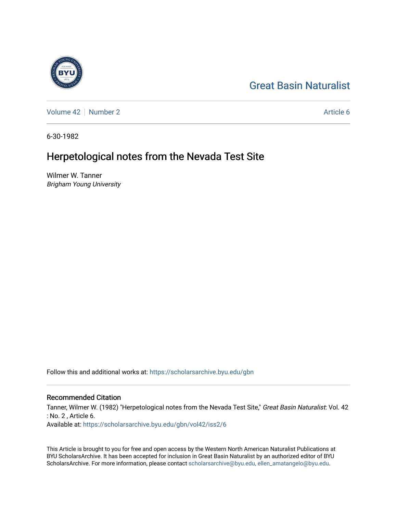# [Great Basin Naturalist](https://scholarsarchive.byu.edu/gbn)

[Volume 42](https://scholarsarchive.byu.edu/gbn/vol42) [Number 2](https://scholarsarchive.byu.edu/gbn/vol42/iss2) Article 6

6-30-1982

# Herpetological notes from the Nevada Test Site

Wilmer W. Tanner Brigham Young University

Follow this and additional works at: [https://scholarsarchive.byu.edu/gbn](https://scholarsarchive.byu.edu/gbn?utm_source=scholarsarchive.byu.edu%2Fgbn%2Fvol42%2Fiss2%2F6&utm_medium=PDF&utm_campaign=PDFCoverPages) 

# Recommended Citation

Tanner, Wilmer W. (1982) "Herpetological notes from the Nevada Test Site," Great Basin Naturalist: Vol. 42 : No. 2 , Article 6. Available at: [https://scholarsarchive.byu.edu/gbn/vol42/iss2/6](https://scholarsarchive.byu.edu/gbn/vol42/iss2/6?utm_source=scholarsarchive.byu.edu%2Fgbn%2Fvol42%2Fiss2%2F6&utm_medium=PDF&utm_campaign=PDFCoverPages)

This Article is brought to you for free and open access by the Western North American Naturalist Publications at BYU ScholarsArchive. It has been accepted for inclusion in Great Basin Naturalist by an authorized editor of BYU ScholarsArchive. For more information, please contact [scholarsarchive@byu.edu, ellen\\_amatangelo@byu.edu.](mailto:scholarsarchive@byu.edu,%20ellen_amatangelo@byu.edu)

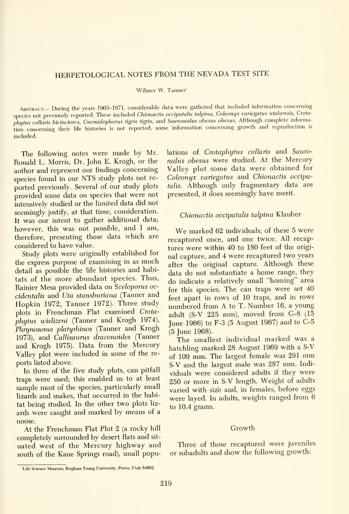# HERPETOLOGICAL NOTES FROM THE NEVADA TEST SITE

Wilmer W. Tanner'

ABSTRACT.- During the years 1965-1971, considerable data were gathered that included information concerning species not previously reported. These included Chionactis occipatalis talpina, Coleonyx variegatus utahensis, Crotaphytus collaris bicinctores, Cnemidophorus tigris tigris, and Sauromalus obesus obesus. Although complete information concerning their life histories is not reported, some information concerning growth and reproduction is included.

The following notes were made by Mr. Ronald L. Morris, Dr. John E. Krogh, or the author and represent our findings concerning species found in our NTS study plots not re ported previously. Several of our study plots provided some data on species that were not intensively studied or the limited data did not seemingly justify, at that time, consideration. It was our intent to gather additional data; however, this was not possible, and <sup>I</sup> am, therefore, presenting those data which are considered to have value.

Study plots were originally established for the express purpose of examining in as much detail as possible the life histories and habitats of the more abundant species. Thus, Rainier Mesa provided data on Sceloporus oc cidentalis and Uta stansburiana (Tanner and Hopkin 1972, Tanner 1972). Three study plots in Frenchman Flat examined Crota phytus wislizeni (Tanner and Krogh 1974), Phrynosoma platyrhinos (Tanner and Krogh 1973), and Callisaurus draconoides (Tanner and Krogh 1975). Data from the Mercury Valley plot were included in some of the re ports listed above.

In three of the five study plots, can pitfall traps were used; this enabled us to at least sample most of the species, particularly small lizards and snakes, that occurred in the habitat being studied. In the other two plots liz ards were caught and marked by means of a noose.

At the Frenchman Flat Plot 2 (a rocky hill completely surrounded by desert flats and sit uated west of the Mercury highway and south of the Kane Springs road), small populations of Crotaphytus collaris and Sauroradus obesus were studied. At the Mercury Valley plot some data were obtained for Coleonyx variegatus and Chionactis occipatalis. Although only fragmentary data are presented, it does seemingly have merit.

## Chionactis occipatalis talpina Klauber

We marked <sup>62</sup> individuals; of these <sup>5</sup> were recaptured once, and one twice. All recaptures were within 40 to 180 feet of the origi nal capture, and 4 were recaptured two years after the original capture. Although these data do not substantiate <sup>a</sup> home range, they do indicate <sup>a</sup> relatively small "homing" area for this species. The can traps were set 40 feet apart in rows of 10 traps, and in rows numbered from A to T. Number 16, <sup>a</sup> young adult (S-V 225 mm), moved from G-8 (15 June 1966) to F-3 (5 August 1967) and to C-5 (5 June 1968).

The smallest individual marked was <sup>a</sup> hatchling marked 28 August 1969 with a S-V of <sup>109</sup> mm. The largest female was <sup>291</sup> mm S-V and the largest male was 287 mm. Indi viduals were considered adults if they were 250 or more in S-V length. Weight of adults varied with size and, in females, before eggs were layed. In adults, weights ranged from 6 to 10.4 grams.

#### Growth

Three of those recaptured were juveniles or subadults and show the following growth:

<sup>&#</sup>x27;Life Science Museum, Brigham Young University, Provo, Utah 84602.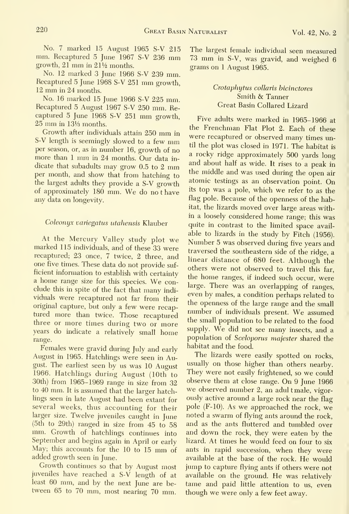No. 7 marked 15 August 1965 S-V 215 mm. Recaptured <sup>5</sup> June <sup>1967</sup> S-V <sup>236</sup> mm growth, 21 mm in 211/2 months.

No. 12 marked 3 June 1966 S-V 239 mm. Recaptured <sup>5</sup> June <sup>1968</sup> S-V <sup>251</sup> mm growth, <sup>12</sup> mm in <sup>24</sup> months.

No. 16 marked 15 June 1966 S-V 225 mm. Recaptured 5 August 1967 S-V 250 mm. Re captured <sup>5</sup> June <sup>1968</sup> S-V <sup>251</sup> mm growth,  $25 \text{ mm}$  in  $13\%$  months.

Growth after individuals attain <sup>250</sup> mm in S-V length is seemingly slowed to <sup>a</sup> few mm per season, or, as in number 16, growth of no more than <sup>1</sup> mm in <sup>24</sup> months. Our data in dicate that subadults may grow 0.5 to <sup>2</sup> mm per month, and show that from hatching to the largest adults they provide a S-V growth of approximately <sup>180</sup> mm. We do no <sup>t</sup> have any data on longevity.

#### Coleonyx variegatus utahensis Klauber

At the Mercury Valley study plot we marked 115 individuals, and of these 33 were recaptured; 23 once, 7 twice, 2 three, and one five times. These data do not provide suf ficient information to establish with certainty <sup>a</sup> home range size for this species. We conclude this in spite of the fact that many indi viduals were recaptured not far from their original capture, but only a few were recaptured more than twice. Those recaptured three or more times during two or more years do indicate <sup>a</sup> relatively small home range.

Females were gravid during July and early August in 1965. Hatchlings were seen in August. The earliest seen by us was 10 August 1966. Hatchlings during August (10th to 30th) from 1965-1969 range in size from 32 to 40 mm. It is assumed that the larger hatchlings seen in late August had been extant for several weeks, thus accounting for their larger size. Twelve juveniles caught in June mm. Growth of hatchlings continues into September and begins again in April or early May; this accounts for the <sup>10</sup> to <sup>15</sup> mm of added growth seen in June.

Growth continues so that by August most juveniles have reached <sup>a</sup> S-V length of at least <sup>60</sup> mm, and by the next June are be tween 65 to 70 mm, most nearing 70 mm.

The largest female individual seen measured <sup>73</sup> mm in S-V, was gravid, and weighed <sup>6</sup> grams on <sup>1</sup> August 1965.

### Crotaphytus collaris bicinctores Smith & Tanner Great Basin Collared Lizard

Five adults were marked in 1965-1966 at the Frenchman Flat Plot 2. Each of these were recaptured or observed many times until the plot was closed in 1971. The habitat is a rocky ridge approximately 500 yards long and about half as wide. It rises to <sup>a</sup> peak in the middle and was used during the open air atomic testings as an observation point. On its top was <sup>a</sup> pole, which we refer to as the flag pole. Because of the openness of the habitat, the lizards moved over large areas within <sup>a</sup> loosely considered home range; this was quite in contrast to the limited space avail able to lizards in the study by Fitch (1956). Number <sup>5</sup> was observed during five years and traversed the southeastern side of the ridge, a linear distance of 680 feet. Although the others were not observed to travel this far, the home ranges, if indeed such occur, were large. There was an overlapping of ranges, even by males, a condition perhaps related to the openness of the large range and the small number of individuals present. We assumed the small population to be related to the food supply. We did not see many insects, and <sup>a</sup> population of Sceloporus majester shared the habitat and the food.

The lizards were easily spotted on rocks, usually on those higher than others nearby. They were not easily frightened, so we could observe them at close range. On 9 June 1966 we observed number 2, an adul t male, vigorously active around a large rock near the flag pole (F-10). As we approached the rock, we noted a swarm of flying ants around the rock, and as the ants fluttered and tumbled over and down the rock, they were eaten by the lizard. At times he would feed on four to six ants in rapid succession, when they were available at the base of the rock. He would jump to capture flying ants if others were not available on the ground. He was relatively tame and paid little attention to us, even though we were only <sup>a</sup> few feet away.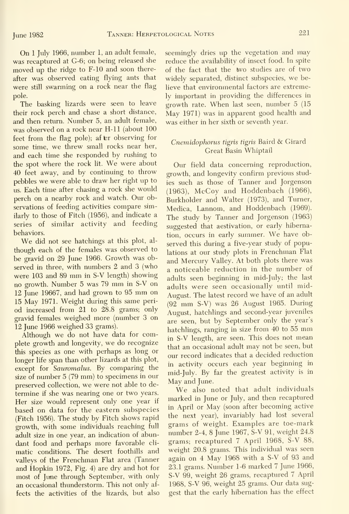On 1 July 1966, number 1, an adult female, was recaptured at G-6; on being released she moved up the ridge to F-10 and soon thereafter was observed eating flying ants that were still swarming on a rock near the flag pole.

The basking lizards were seen to leave their rock perch and chase a short distance, and then return. Number 5, an adult female, was observed on a rock near H-11 (about 100 feet from the flag pole); after observing for some time, we threw small rocks near her, and each time she responded by rushing to the spot where the rock lit. We were about 40 feet away, and by continuing to throw pebbles we were able to draw her right up to us. Each time after chasing a rock she would perch on <sup>a</sup> nearby rock and watch. Our observations of feeding activities compare similarly to those of Fitch (1956), and indicate a series of similar activity and feeding behaviors.

We did not see hatchings at this plot, al though each of the females was observed to be gravid on 29 June 1966. Growth was observed in three, with numbers 2 and 3 (who were <sup>103</sup> and <sup>89</sup> mm in S-V length) showing no growth. Number <sup>5</sup> was <sup>79</sup> mm in S-V on <sup>12</sup> June 19667, and had grown to <sup>95</sup> mm on 15 May 1971. Weight during this same period increased from 21 to 28.8 grams; only gravid females weighed more (number 3 on 12 June 1966 weighed 33 grams).

Although we do not have data for complete growth and longevity, we do recognize this species as one with perhaps as long or longer life span than other lizards at this plot, except for Sauromalus. By comparing the size of number  $5(79 \text{ mm})$  to specimens in our  $\frac{\text{m}}{\text{May}}$  and  $\frac{\text{J}}{\text{Jup}}$ . preserved collection, we were not able to de termine if she was nearing one or two years. Her size would represent only one year if based on data for the eastern subspecies (Fitch 1956). The study by Fitch shows rapid growth, with some individuals reaching full adult size in one year, an indication of abundant food and perhaps more favorable cli matic conditions. The desert foothills and valleys of the Frenchman Flat area (Tanner and Hopkin 1972, Fig. 4) are dry and hot for most of June through September, with only an occasional thunderstorm. This not only affects the activities of the lizards, but also

seemingly dries up the vegetation and may reduce the availability of insect food. In spite of the fact that the two studies are of two widely separated, distinct subspecies, we believe that environmental factors are extremely important in providing the differences in growth rate. When last seen, number 5 (15 May 1971) was in apparent good health and was either in her sixth or seventh year.

## Cnemidophorus tigris tigris Baird & Girard Great Basin Whiptail

Our field data concerning reproduction, growth, and longevity confirm previous studies such as those of Tanner and Jorgenson (1963), McCoy and Hoddenbach (1966), Burkholder and Walter (1973), and Turner, Medica, Lannom, and Hoddenbach (1969). The study by Tanner and Jorgenson (1963) suggested that aestivation, or early hibernation, occurs in early summer. We have observed this during a five-year study of populations at our study plots in Frenchman Flat and Mercury Valley. At both plots there was <sup>a</sup> noticeable reduction in the number of adults seen beginning in mid-July; the last adults were seen occasionally until mid-August. The latest record we have of an adult (92 mm S-V) was <sup>26</sup> August 1965. During August, hatchlings and second-year juveniles are seen, but by September only the year's hatchlings, ranging in size from <sup>40</sup> to <sup>55</sup> mm in S-V length, are seen. This does not mean that an occasional adult may not be seen, but our record indicates that a decided reduction in activity occurs each year beginning in mid-July. By far the greatest activity is in

We also noted that adult individuals marked in June or July, and then recaptured in April or May (soon after becoming active the next year), invariably had lost several grams of weight. Examples are toe-mark number 2-4, 8 June 1967, S-V 91, weight 24.8 grams; recaptured 7 April 1968, S-V 88, weight 20.8 grams. This individual was seen again on 4 May 1968 with a S-V of 93 and 23.1 grams. Number 1-6 marked 7 June 1966, S-V 99, weight 26 grams, recaptured 7 April 1968, S-V 96, weight 25 grams. Our data suggest that the early hibernation has the effect